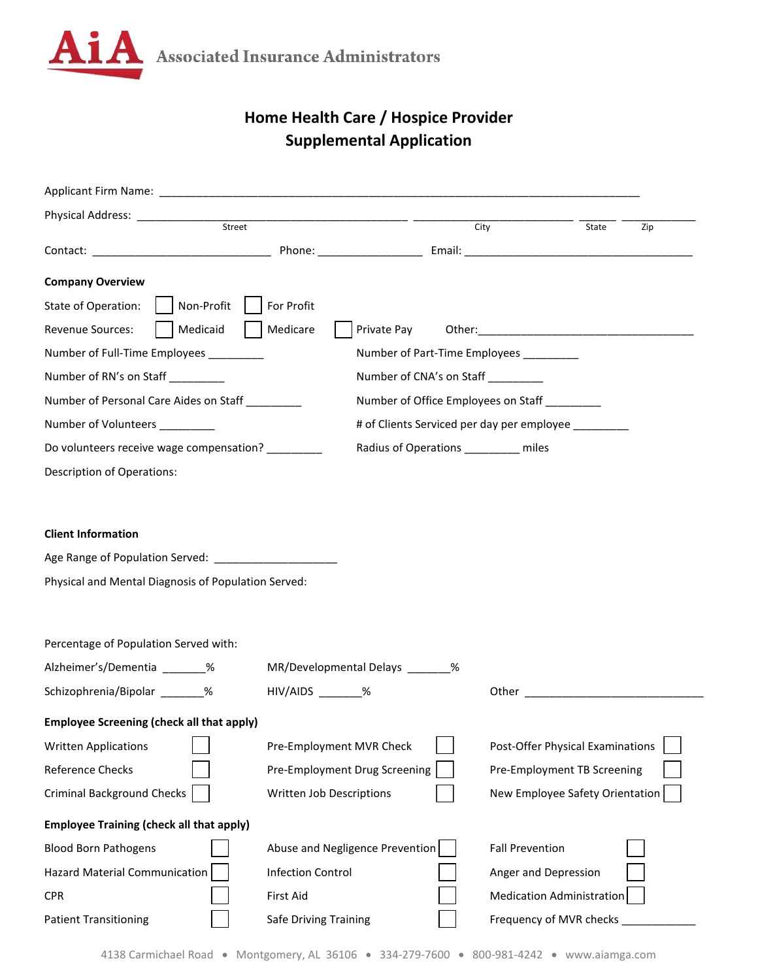

## **Home Health Care / Hospice Provider Supplemental Application**

|                                                         |                                  |                                     | City |                                                     | State | Zip |  |
|---------------------------------------------------------|----------------------------------|-------------------------------------|------|-----------------------------------------------------|-------|-----|--|
|                                                         |                                  |                                     |      |                                                     |       |     |  |
| <b>Company Overview</b>                                 |                                  |                                     |      |                                                     |       |     |  |
| Non-Profit<br>State of Operation:                       | For Profit                       |                                     |      |                                                     |       |     |  |
| Medicaid<br>Revenue Sources:                            | Medicare                         | Private Pay                         |      |                                                     |       |     |  |
| Number of Full-Time Employees ________                  |                                  |                                     |      | Number of Part-Time Employees _________             |       |     |  |
| Number of RN's on Staff ________                        |                                  | Number of CNA's on Staff _________  |      |                                                     |       |     |  |
| Number of Personal Care Aides on Staff                  |                                  |                                     |      | Number of Office Employees on Staff _________       |       |     |  |
| Number of Volunteers ________                           |                                  |                                     |      | # of Clients Serviced per day per employee ________ |       |     |  |
| Do volunteers receive wage compensation?                |                                  | Radius of Operations ________ miles |      |                                                     |       |     |  |
| <b>Description of Operations:</b>                       |                                  |                                     |      |                                                     |       |     |  |
|                                                         |                                  |                                     |      |                                                     |       |     |  |
|                                                         |                                  |                                     |      |                                                     |       |     |  |
| <b>Client Information</b>                               |                                  |                                     |      |                                                     |       |     |  |
| Age Range of Population Served: _______________________ |                                  |                                     |      |                                                     |       |     |  |
| Physical and Mental Diagnosis of Population Served:     |                                  |                                     |      |                                                     |       |     |  |
|                                                         |                                  |                                     |      |                                                     |       |     |  |
| Percentage of Population Served with:                   |                                  |                                     |      |                                                     |       |     |  |
| Alzheimer's/Dementia _______%                           | MR/Developmental Delays _______% |                                     |      |                                                     |       |     |  |
| Schizophrenia/Bipolar ______%                           | HIV/AIDS _______%                |                                     |      |                                                     |       |     |  |
| <b>Employee Screening (check all that apply)</b>        |                                  |                                     |      |                                                     |       |     |  |
| <b>Written Applications</b>                             | Pre-Employment MVR Check         |                                     |      | Post-Offer Physical Examinations                    |       |     |  |
| Reference Checks                                        | Pre-Employment Drug Screening    |                                     |      | Pre-Employment TB Screening                         |       |     |  |
| <b>Criminal Background Checks</b>                       | Written Job Descriptions         |                                     |      | New Employee Safety Orientation                     |       |     |  |
|                                                         |                                  |                                     |      |                                                     |       |     |  |
| <b>Employee Training (check all that apply)</b>         |                                  |                                     |      |                                                     |       |     |  |
| <b>Blood Born Pathogens</b>                             | Abuse and Negligence Prevention  |                                     |      | <b>Fall Prevention</b>                              |       |     |  |
| Hazard Material Communication                           | <b>Infection Control</b>         |                                     |      | Anger and Depression                                |       |     |  |
| <b>CPR</b>                                              | First Aid                        |                                     |      | <b>Medication Administration</b>                    |       |     |  |
| <b>Patient Transitioning</b>                            | Safe Driving Training            |                                     |      | Frequency of MVR checks                             |       |     |  |